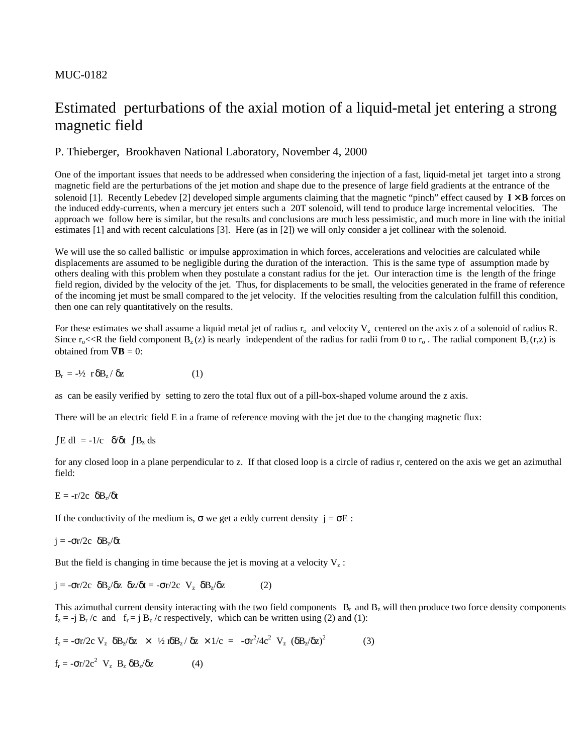#### MUC-0182

# Estimated perturbations of the axial motion of a liquid-metal jet entering a strong magnetic field

### P. Thieberger, Brookhaven National Laboratory, November 4, 2000

One of the important issues that needs to be addressed when considering the injection of a fast, liquid-metal jet target into a strong magnetic field are the perturbations of the jet motion and shape due to the presence of large field gradients at the entrance of the solenoid [1]. Recently Lebedev [2] developed simple arguments claiming that the magnetic "pinch" effect caused by  $\mathbf{I} \times \mathbf{B}$  forces on the induced eddy-currents, when a mercury jet enters such a 20T solenoid, will tend to produce large incremental velocities. The approach we follow here is similar, but the results and conclusions are much less pessimistic, and much more in line with the initial estimates [1] and with recent calculations [3]. Here (as in [2]) we will only consider a jet collinear with the solenoid.

We will use the so called ballistic or impulse approximation in which forces, accelerations and velocities are calculated while displacements are assumed to be negligible during the duration of the interaction. This is the same type of assumption made by others dealing with this problem when they postulate a constant radius for the jet. Our interaction time is the length of the fringe field region, divided by the velocity of the jet. Thus, for displacements to be small, the velocities generated in the frame of reference of the incoming jet must be small compared to the jet velocity. If the velocities resulting from the calculation fulfill this condition, then one can rely quantitatively on the results.

For these estimates we shall assume a liquid metal jet of radius  $r_0$  and velocity  $V_z$  centered on the axis z of a solenoid of radius R. Since  $r_0 \ll R$  the field component  $B_z(z)$  is nearly independent of the radius for radii from 0 to  $r_0$ . The radial component  $B_r(r,z)$  is obtained from  $\nabla$ **B** = 0:

$$
B_r = -\frac{1}{2} r \delta B_z / \delta z \tag{1}
$$

as can be easily verified by setting to zero the total flux out of a pill-box-shaped volume around the z axis.

There will be an electric field E in a frame of reference moving with the jet due to the changing magnetic flux:

 $\int$  E dl = -1/c  $\delta/\delta t$   $\int$  B<sub>z</sub> ds

for any closed loop in a plane perpendicular to z. If that closed loop is a circle of radius r, centered on the axis we get an azimuthal field:

 $E = -r/2c \delta B_z/\delta t$ 

If the conductivity of the medium is,  $\sigma$  we get a eddy current density  $j = \sigma E$ :

 $j = -\sigma r/2c \delta B_z/\delta t$ 

But the field is changing in time because the jet is moving at a velocity  $V_z$ :

$$
\dot{\mathbf{j}} = -\sigma \mathbf{r}/2\mathbf{c} \quad \delta \mathbf{B}_z / \delta \mathbf{z} \quad \delta \mathbf{z} / \delta \mathbf{t} = -\sigma \mathbf{r} / 2\mathbf{c} \quad \mathbf{V}_z \quad \delta \mathbf{B}_z / \delta \mathbf{z} \tag{2}
$$

This azimuthal current density interacting with the two field components  $B_r$  and  $B_z$  will then produce two force density components  $f_z = -j B_r/c$  and  $f_r = j B_z/c$  respectively, which can be written using (2) and (1):

$$
f_z = -\sigma r/2c \ V_z \ \delta B_z/\delta z \ \times \ \frac{1}{2} \ n \delta B_z / \ \delta z \ \times 1/c = -\sigma r^2 / 4c^2 \ V_z \ (\delta B_z / \delta z)^2 \tag{3}
$$

 $f_r = -\sigma r/2c^2$  V<sub>z</sub> B<sub>z</sub>  $\delta B_z/\delta z$  (4)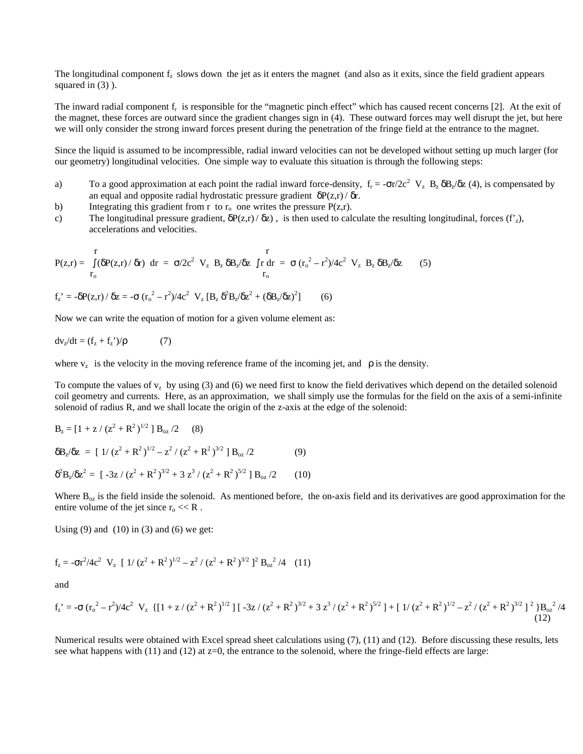The longitudinal component  $f<sub>z</sub>$  slows down the jet as it enters the magnet (and also as it exits, since the field gradient appears squared in  $(3)$ ).

The inward radial component  $f_r$  is responsible for the "magnetic pinch effect" which has caused recent concerns [2]. At the exit of the magnet, these forces are outward since the gradient changes sign in (4). These outward forces may well disrupt the jet, but here we will only consider the strong inward forces present during the penetration of the fringe field at the entrance to the magnet.

Since the liquid is assumed to be incompressible, radial inward velocities can not be developed without setting up much larger (for our geometry) longitudinal velocities. One simple way to evaluate this situation is through the following steps:

- a) To a good approximation at each point the radial inward force-density,  $f_r = -\sigma r/2c^2 V_z B_z \delta B_z/\delta z$  (4), is compensated by an equal and opposite radial hydrostatic pressure gradient  $\delta P(z,r)/\delta r$ .
- b) Integrating this gradient from r to  $r_0$  one writes the pressure  $P(z,r)$ .
- c) The longitudinal pressure gradient,  $\delta P(z,r)/\delta z$ , is then used to calculate the resulting longitudinal, forces (f'z), accelerations and velocities.

$$
P(z,r) = \int_{r_0}^{r} (\delta P(z,r)/\delta r) dr = \sigma/2c^2 V_z B_z \delta B_z/\delta z \int_{r}^{r} r dr = \sigma (r_o^2 - r^2)/4c^2 V_z B_z \delta B_z/\delta z
$$
 (5)

$$
f_{z}^{\ \prime} = -\delta P(z,r) / \delta z = -\sigma (r_{o}^{2} - r^{2}) / 4c^{2} \ V_{z} [B_{z} \ \delta^{2} B_{z} / \delta z^{2} + (\delta B_{z} / \delta z)^{2}] \tag{6}
$$

Now we can write the equation of motion for a given volume element as:

$$
dv_z/dt = (f_z + f_z^{\prime})/\rho \tag{7}
$$

where  $v_z$  is the velocity in the moving reference frame of the incoming jet, and  $\rho$  is the density.

To compute the values of  $v_z$  by using (3) and (6) we need first to know the field derivatives which depend on the detailed solenoid coil geometry and currents. Here, as an approximation, we shall simply use the formulas for the field on the axis of a semi-infinite solenoid of radius R, and we shall locate the origin of the z-axis at the edge of the solenoid:

$$
B_z = [1 + z / (z^2 + R^2)^{1/2}] B_{oz} / 2
$$
 (8)  
\n
$$
\delta B_z / \delta z = [1 / (z^2 + R^2)^{1/2} - z^2 / (z^2 + R^2)^{3/2}] B_{oz} / 2
$$
 (9)  
\n
$$
\delta^2 B_z / \delta z^2 = [-3z / (z^2 + R^2)^{3/2} + 3 z^3 / (z^2 + R^2)^{5/2}] B_{oz} / 2
$$
 (10)

Where  $B_{\alpha z}$  is the field inside the solenoid. As mentioned before, the on-axis field and its derivatives are good approximation for the entire volume of the jet since  $r_0 \ll R$ .

Using  $(9)$  and  $(10)$  in  $(3)$  and  $(6)$  we get:

$$
f_z = -\sigma r^2 / 4c^2 \ V_z \ [1/(z^2 + R^2)^{1/2} - z^2/(z^2 + R^2)^{3/2}]^2 B_{oz}^2 / 4 \ (11)
$$

and

$$
f_z' = -\sigma (r_o^2 - r^2)/4c^2 \ V_z \ \{[1 + z/(z^2 + R^2)^{1/2}] \ [-3z/(z^2 + R^2)^{3/2} + 3z^3/(z^2 + R^2)^{5/2}] + [1/(z^2 + R^2)^{1/2} - z^2/(z^2 + R^2)^{3/2}]^2\}B_{oz}^2/4
$$
\n(12)

Numerical results were obtained with Excel spread sheet calculations using (7), (11) and (12). Before discussing these results, lets see what happens with  $(11)$  and  $(12)$  at  $z=0$ , the entrance to the solenoid, where the fringe-field effects are large: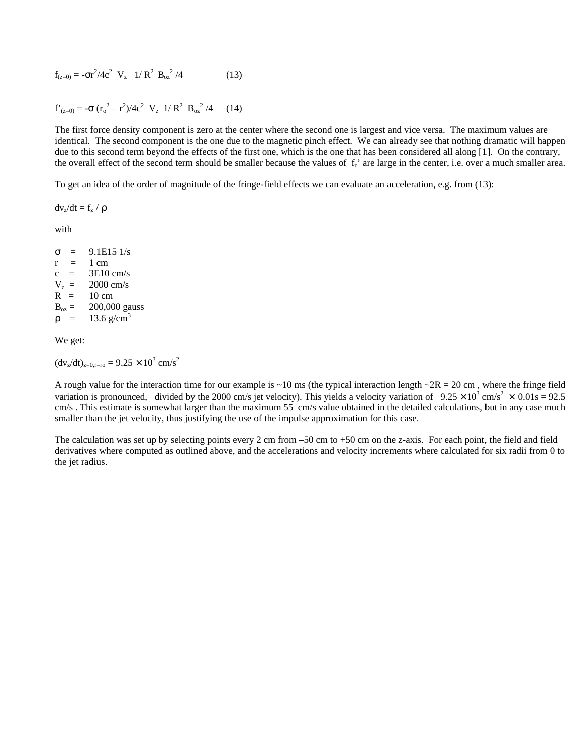$$
f_{(z=0)} = -\sigma r^2 / 4c^2 \ V_z \ 1/R^2 B_{oz}^2 / 4 \qquad (13)
$$

$$
f'_{(z=0)} = -\sigma (r_o^2 - r^2)/4c^2 V_z \ 1/R^2 B_{oz}^2 /4 \qquad (14)
$$

The first force density component is zero at the center where the second one is largest and vice versa. The maximum values are identical. The second component is the one due to the magnetic pinch effect. We can already see that nothing dramatic will happen due to this second term beyond the effects of the first one, which is the one that has been considered all along [1]. On the contrary, the overall effect of the second term should be smaller because the values of  $f_i$  are large in the center, i.e. over a much smaller area.

To get an idea of the order of magnitude of the fringe-field effects we can evaluate an acceleration, e.g. from (13):

 $dv_z/dt = f_z / \rho$ 

with

 $σ = 9.1E151/s$  $r = 1$  cm  $c = 3E10 \text{ cm/s}$  $V_z =$  = 2000 cm/s  $R = 10 \text{ cm}$ <br> $B_{oz} = 200,00$ 200,000 gauss  $\rho = 13.6 \text{ g/cm}^3$ 

We get:

 $(dv_z/dt)_{z=0, r=r0} = 9.25 \times 10^3$  cm/s<sup>2</sup>

A rough value for the interaction time for our example is  $\sim$ 10 ms (the typical interaction length  $\sim$ 2R = 20 cm, where the fringe field variation is pronounced, divided by the 2000 cm/s jet velocity). This yields a velocity variation of  $9.25 \times 10^3$  cm/s<sup>2</sup>  $\times$  0.01s = 92.5 cm/s . This estimate is somewhat larger than the maximum 55 cm/s value obtained in the detailed calculations, but in any case much smaller than the jet velocity, thus justifying the use of the impulse approximation for this case.

The calculation was set up by selecting points every 2 cm from –50 cm to +50 cm on the z-axis. For each point, the field and field derivatives where computed as outlined above, and the accelerations and velocity increments where calculated for six radii from 0 to the jet radius.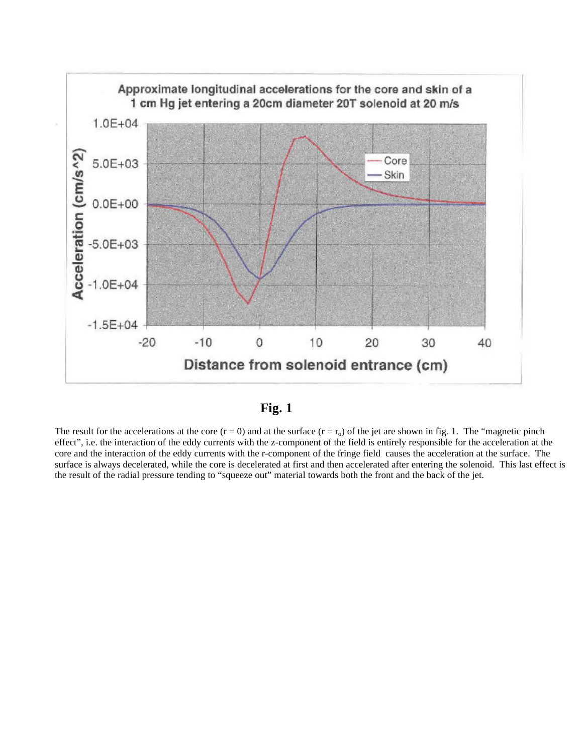



The result for the accelerations at the core  $(r = 0)$  and at the surface  $(r = r_0)$  of the jet are shown in fig. 1. The "magnetic pinch" effect", i.e. the interaction of the eddy currents with the z-component of the field is entirely responsible for the acceleration at the core and the interaction of the eddy currents with the r-component of the fringe field causes the acceleration at the surface. The surface is always decelerated, while the core is decelerated at first and then accelerated after entering the solenoid. This last effect is the result of the radial pressure tending to "squeeze out" material towards both the front and the back of the jet.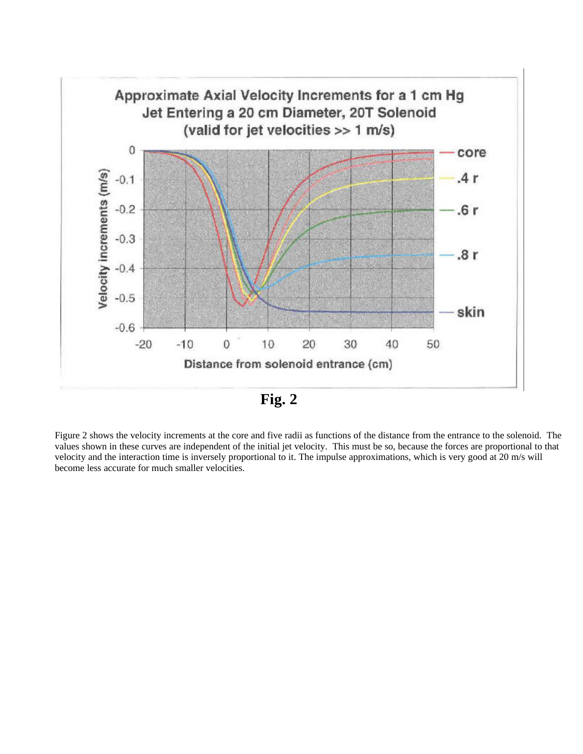

**Fig. 2**

Figure 2 shows the velocity increments at the core and five radii as functions of the distance from the entrance to the solenoid. The values shown in these curves are independent of the initial jet velocity. This must be so, because the forces are proportional to that velocity and the interaction time is inversely proportional to it. The impulse approximations, which is very good at 20 m/s will become less accurate for much smaller velocities.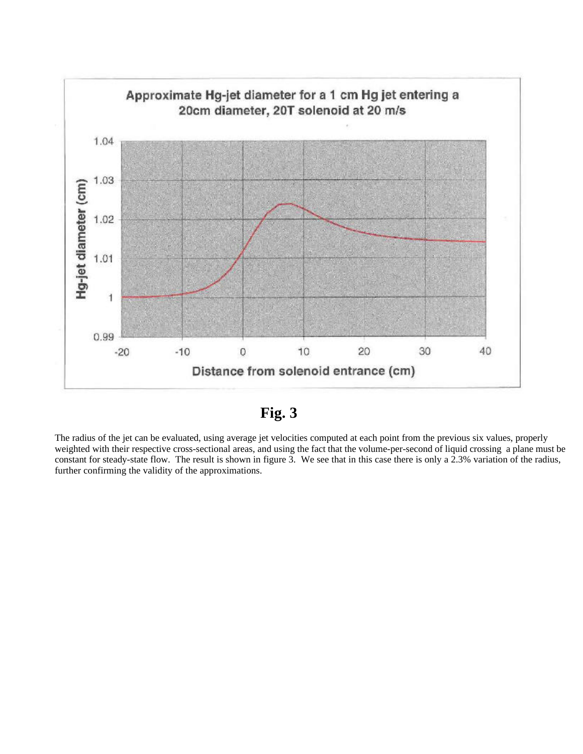

**Fig. 3**

The radius of the jet can be evaluated, using average jet velocities computed at each point from the previous six values, properly weighted with their respective cross-sectional areas, and using the fact that the volume-per-second of liquid crossing a plane must be constant for steady-state flow. The result is shown in figure 3. We see that in this case there is only a 2.3% variation of the radius, further confirming the validity of the approximations.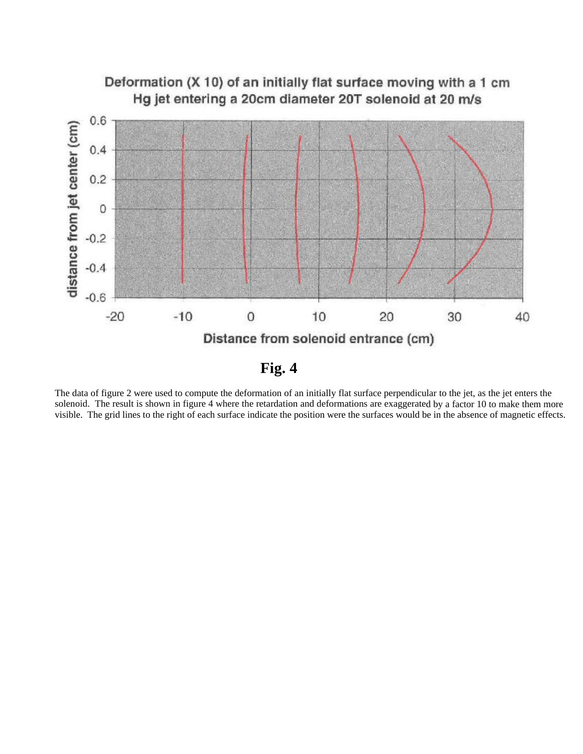

The data of figure 2 were used to compute the deformation of an initially flat surface perpendicular to the jet, as the jet enters the solenoid. The result is shown in figure 4 where the retardation and deformations are exaggerated by a factor 10 to make them more visible. The grid lines to the right of each surface indicate the position were the surfaces would be in the absence of magnetic effects.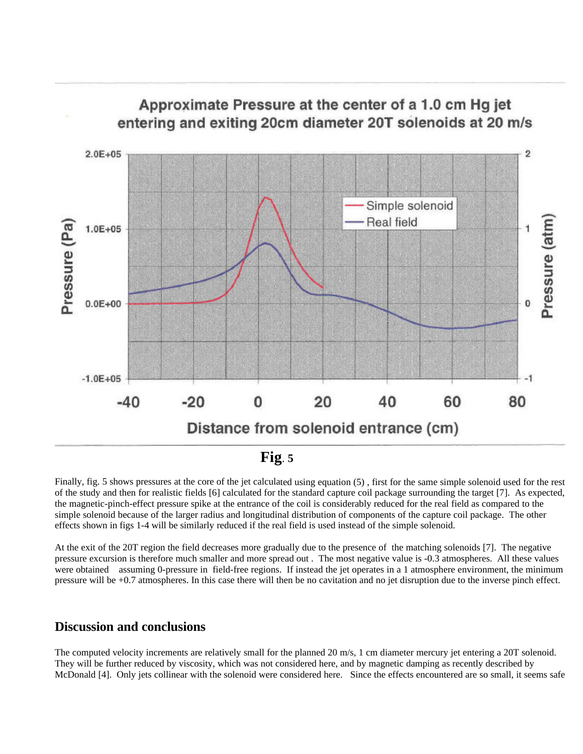

Finally, fig. 5 shows pressures at the core of the jet calculated using equation (5), first for the same simple solenoid used for the rest of the study and then for realistic fields [6] calculated for the standard capture coil package surrounding the target [7]. As expected, the magnetic-pinch-effect pressure spike at the entrance of the coil is considerably reduced for the real field as compared to the simple solenoid because of the larger radius and longitudinal distribution of components of the capture coil package. The other effects shown in figs 1-4 will be similarly reduced if the real field is used instead of the simple solenoid.

At the exit of the 20T region the field decreases more gradually due to the presence of the matching solenoids [7]. The negative pressure excursion is therefore much smaller and more spread out . The most negative value is -0.3 atmospheres. All these values were obtained assuming 0-pressure in field-free regions. If instead the jet operates in a 1 atmosphere environment, the minimum pressure will be +0.7 atmospheres. In this case there will then be no cavitation and no jet disruption due to the inverse pinch effect.

### **Discussion and conclusions**

The computed velocity increments are relatively small for the planned 20 m/s, 1 cm diameter mercury jet entering a 20T solenoid. They will be further reduced by viscosity, which was not considered here, and by magnetic damping as recently described by McDonald [4]. Only jets collinear with the solenoid were considered here. Since the effects encountered are so small, it seems safe